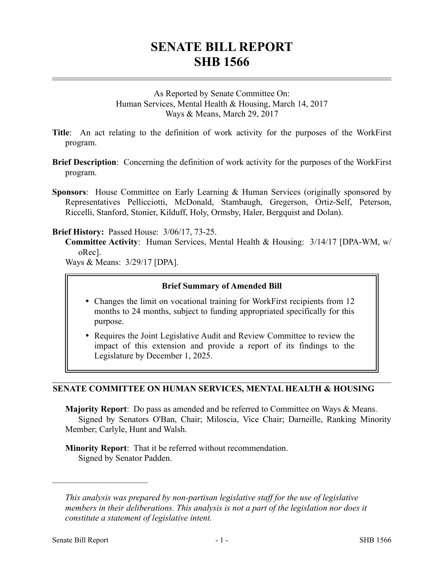# **SENATE BILL REPORT SHB 1566**

As Reported by Senate Committee On: Human Services, Mental Health & Housing, March 14, 2017 Ways & Means, March 29, 2017

- **Title**: An act relating to the definition of work activity for the purposes of the WorkFirst program.
- **Brief Description**: Concerning the definition of work activity for the purposes of the WorkFirst program.
- **Sponsors**: House Committee on Early Learning & Human Services (originally sponsored by Representatives Pellicciotti, McDonald, Stambaugh, Gregerson, Ortiz-Self, Peterson, Riccelli, Stanford, Stonier, Kilduff, Holy, Ormsby, Haler, Bergquist and Dolan).

## **Brief History:** Passed House: 3/06/17, 73-25.

**Committee Activity**: Human Services, Mental Health & Housing: 3/14/17 [DPA-WM, w/ oRec].

Ways & Means: 3/29/17 [DPA].

## **Brief Summary of Amended Bill**

- Changes the limit on vocational training for WorkFirst recipients from 12 months to 24 months, subject to funding appropriated specifically for this purpose.
- Requires the Joint Legislative Audit and Review Committee to review the impact of this extension and provide a report of its findings to the Legislature by December 1, 2025.

## **SENATE COMMITTEE ON HUMAN SERVICES, MENTAL HEALTH & HOUSING**

**Majority Report**: Do pass as amended and be referred to Committee on Ways & Means. Signed by Senators O'Ban, Chair; Miloscia, Vice Chair; Darneille, Ranking Minority Member; Carlyle, Hunt and Walsh.

**Minority Report**: That it be referred without recommendation. Signed by Senator Padden.

––––––––––––––––––––––

*This analysis was prepared by non-partisan legislative staff for the use of legislative members in their deliberations. This analysis is not a part of the legislation nor does it constitute a statement of legislative intent.*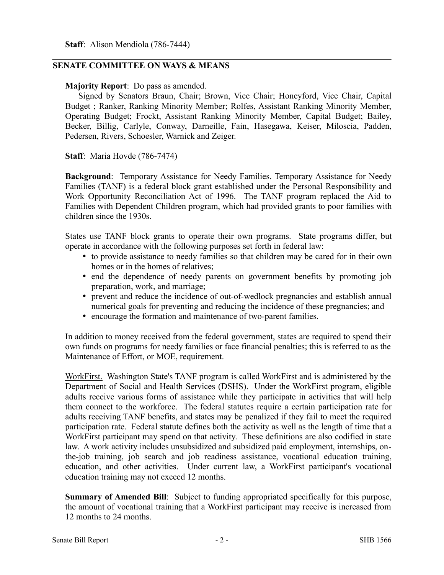## **SENATE COMMITTEE ON WAYS & MEANS**

## **Majority Report**: Do pass as amended.

Signed by Senators Braun, Chair; Brown, Vice Chair; Honeyford, Vice Chair, Capital Budget ; Ranker, Ranking Minority Member; Rolfes, Assistant Ranking Minority Member, Operating Budget; Frockt, Assistant Ranking Minority Member, Capital Budget; Bailey, Becker, Billig, Carlyle, Conway, Darneille, Fain, Hasegawa, Keiser, Miloscia, Padden, Pedersen, Rivers, Schoesler, Warnick and Zeiger.

**Staff**: Maria Hovde (786-7474)

**Background**: Temporary Assistance for Needy Families. Temporary Assistance for Needy Families (TANF) is a federal block grant established under the Personal Responsibility and Work Opportunity Reconciliation Act of 1996. The TANF program replaced the Aid to Families with Dependent Children program, which had provided grants to poor families with children since the 1930s.

States use TANF block grants to operate their own programs. State programs differ, but operate in accordance with the following purposes set forth in federal law:

- to provide assistance to needy families so that children may be cared for in their own homes or in the homes of relatives;
- end the dependence of needy parents on government benefits by promoting job preparation, work, and marriage;
- prevent and reduce the incidence of out-of-wedlock pregnancies and establish annual numerical goals for preventing and reducing the incidence of these pregnancies; and
- encourage the formation and maintenance of two-parent families.

In addition to money received from the federal government, states are required to spend their own funds on programs for needy families or face financial penalties; this is referred to as the Maintenance of Effort, or MOE, requirement.

WorkFirst. Washington State's TANF program is called WorkFirst and is administered by the Department of Social and Health Services (DSHS). Under the WorkFirst program, eligible adults receive various forms of assistance while they participate in activities that will help them connect to the workforce. The federal statutes require a certain participation rate for adults receiving TANF benefits, and states may be penalized if they fail to meet the required participation rate. Federal statute defines both the activity as well as the length of time that a WorkFirst participant may spend on that activity. These definitions are also codified in state law. A work activity includes unsubsidized and subsidized paid employment, internships, onthe-job training, job search and job readiness assistance, vocational education training, education, and other activities. Under current law, a WorkFirst participant's vocational education training may not exceed 12 months.

**Summary of Amended Bill**: Subject to funding appropriated specifically for this purpose, the amount of vocational training that a WorkFirst participant may receive is increased from 12 months to 24 months.